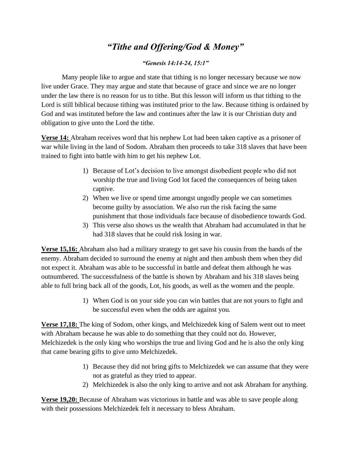## *"Tithe and Offering/God & Money"*

## *"Genesis 14:14-24, 15:1"*

Many people like to argue and state that tithing is no longer necessary because we now live under Grace. They may argue and state that because of grace and since we are no longer under the law there is no reason for us to tithe. But this lesson will inform us that tithing to the Lord is still biblical because tithing was instituted prior to the law. Because tithing is ordained by God and was instituted before the law and continues after the law it is our Christian duty and obligation to give unto the Lord the tithe.

**Verse 14:** Abraham receives word that his nephew Lot had been taken captive as a prisoner of war while living in the land of Sodom. Abraham then proceeds to take 318 slaves that have been trained to fight into battle with him to get his nephew Lot.

- 1) Because of Lot's decision to live amongst disobedient people who did not worship the true and living God lot faced the consequences of being taken captive.
- 2) When we live or spend time amongst ungodly people we can sometimes become guilty by association. We also run the risk facing the same punishment that those individuals face because of disobedience towards God.
- 3) This verse also shows us the wealth that Abraham had accumulated in that he had 318 slaves that he could risk losing in war.

**Verse 15,16:** Abraham also had a military strategy to get save his cousin from the hands of the enemy. Abraham decided to surround the enemy at night and then ambush them when they did not expect it. Abraham was able to be successful in battle and defeat them although he was outnumbered. The successfulness of the battle is shown by Abraham and his 318 slaves being able to full bring back all of the goods, Lot, his goods, as well as the women and the people.

> 1) When God is on your side you can win battles that are not yours to fight and be successful even when the odds are against you.

**Verse 17,18:** The king of Sodom, other kings, and Melchizedek king of Salem went out to meet with Abraham because he was able to do something that they could not do. However, Melchizedek is the only king who worships the true and living God and he is also the only king that came bearing gifts to give unto Melchizedek.

- 1) Because they did not bring gifts to Melchizedek we can assume that they were not as grateful as they tried to appear.
- 2) Melchizedek is also the only king to arrive and not ask Abraham for anything.

**Verse 19,20:** Because of Abraham was victorious in battle and was able to save people along with their possessions Melchizedek felt it necessary to bless Abraham.